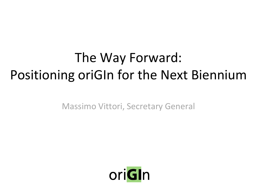#### The Way Forward: Positioning oriGIn for the Next Biennium

Massimo Vittori, Secretary General

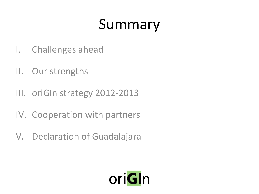# Summary

- I. Challenges ahead
- II. Our strengths
- III. oriGIn strategy 2012-2013
- IV. Cooperation with partners
- V. Declaration of Guadalajara

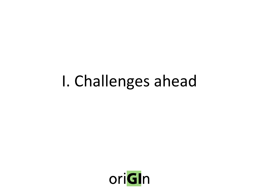# I. Challenges ahead

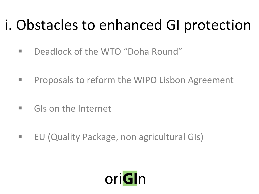# i. Obstacles to enhanced GI protection

- Deadlock of the WTO "Doha Round"
- **Proposals to reform the WIPO Lisbon Agreement**
- **GIS on the Internet**
- **EU (Quality Package, non agricultural GIs)**

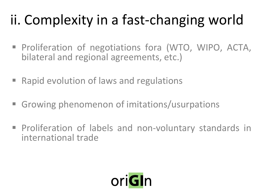# ii. Complexity in a fast-changing world

- **Proliferation of negotiations fora (WTO, WIPO, ACTA,** bilateral and regional agreements, etc.)
- Rapid evolution of laws and regulations
- Growing phenomenon of imitations/usurpations
- **Proliferation of labels and non-voluntary standards in** international trade

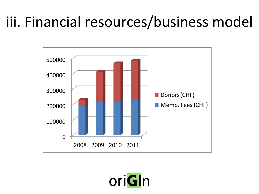## iii. Financial resources/business model



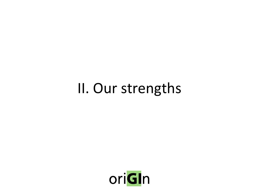## II. Our strengths

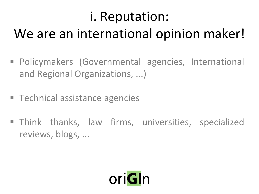## i. Reputation:

#### We are an international opinion maker!

- Policymakers (Governmental agencies, International and Regional Organizations, ...)
- Technical assistance agencies
- **Think thanks, law firms, universities, specialized** reviews, blogs, ...

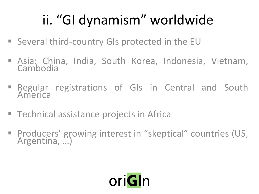# ii. "GI dynamism" worldwide

- Several third-country GIs protected in the EU
- **Asia: China, India, South Korea, Indonesia, Vietnam, Cambodia**
- **Regular registrations of GIs in Central and South** America
- Technical assistance projects in Africa
- **Producers' growing interest in "skeptical" countries (US,** Argentina, …)

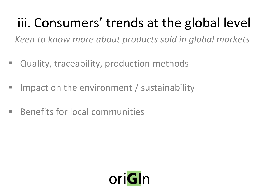## iii. Consumers' trends at the global level

*Keen to know more about products sold in global markets*

- **Quality, traceability, production methods**
- $\blacksquare$  Impact on the environment / sustainability
- **Benefits for local communities**

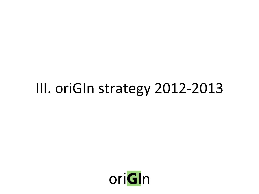## III. oriGIn strategy 2012-2013

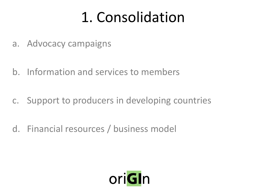## 1. Consolidation

- a. Advocacy campaigns
- b. Information and services to members
- c. Support to producers in developing countries
- d. Financial resources / business model

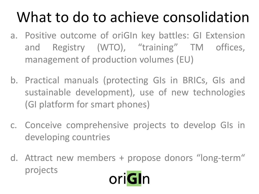# What to do to achieve consolidation

- a. Positive outcome of oriGIn key battles: GI Extension and Registry (WTO), "training" TM offices, management of production volumes (EU)
- b. Practical manuals (protecting GIs in BRICs, GIs and sustainable development), use of new technologies (GI platform for smart phones)
- c. Conceive comprehensive projects to develop GIs in developing countries
- d. Attract new members + propose donors "long-term" projectsoriGin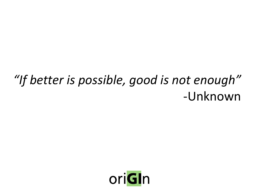#### *"If better is possible, good is not enough"* -Unknown

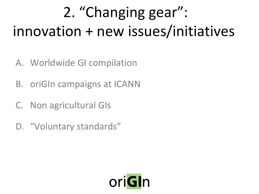# 2. "Changing gear": innovation + new issues/initiatives

- A. Worldwide GI compilation
- B. oriGIn campaigns at ICANN
- C. Non agricultural GIs
- D. "Voluntary standards"

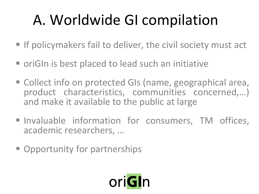# A. Worldwide GI compilation

- $\blacksquare$  If policymakers fail to deliver, the civil society must act
- oriGIn is best placed to lead such an initiative
- Collect info on protected GIs (name, geographical area, product characteristics, communities concerned,…) and make it available to the public at large
- Invaluable information for consumers, TM offices, academic researchers, …
- **Opportunity for partnerships**

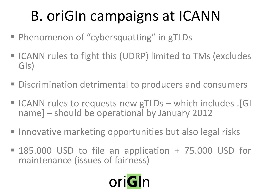# B. oriGIn campaigns at ICANN

- Phenomenon of "cybersquatting" in gTLDs
- ICANN rules to fight this (UDRP) limited to TMs (excludes GIs)
- Discrimination detrimental to producers and consumers
- ICANN rules to requests new gTLDs which includes . [GI name] – should be operational by January 2012
- Innovative marketing opportunities but also legal risks
- 185.000 USD to file an application + 75.000 USD for maintenance (issues of fairness)

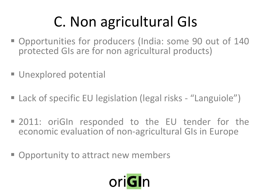# C. Non agricultural GIs

- Opportunities for producers (India: some 90 out of 140 protected GIs are for non agricultural products)
- **Unexplored potential**
- Lack of specific EU legislation (legal risks "Languiole")
- 2011: oriGIn responded to the EU tender for the economic evaluation of non-agricultural GIs in Europe
- **Opportunity to attract new members**

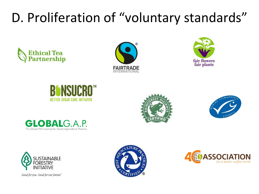## D. Proliferation of "voluntary standards"

















Good for you. Good for our forests."



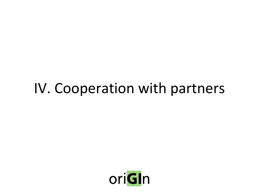## IV. Cooperation with partners